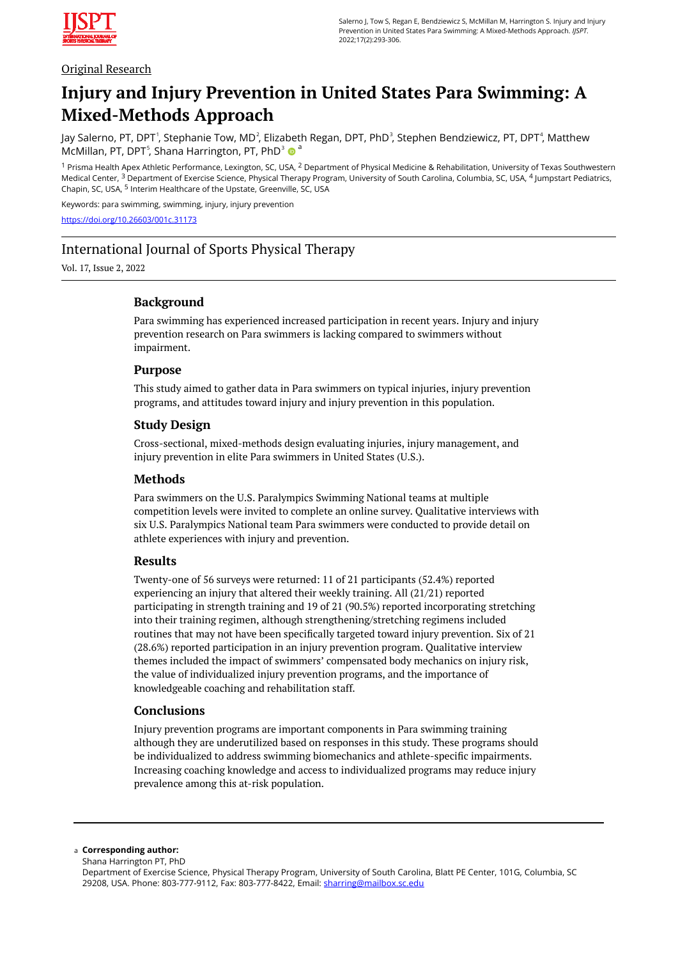

# Original Research

# **Injury and Injury Prevention in United States Para Swimming: A Mixed-Methods Approach**

Jay Salerno, PT, DPT<sup>1</sup>, Stephanie Tow, MD<sup>2</sup>, Elizabeth Regan, DPT, PhD<sup>3</sup>, Stephen Bendziewicz, PT, DPT<sup>4</sup>, Matthew McMillan, PT, DPT<sup>5</sup>, Shana Harrington, PT, PhD<sup>3</sup> <sup>a</sup>

<sup>1</sup> Prisma Health Apex Athletic Performance, Lexington, SC, USA, <sup>2</sup> Department of Physical Medicine & Rehabilitation, University of Texas Southwestern Medical Center, <sup>3</sup> Department of Exercise Science, Physical Therapy Program, University of South Carolina, Columbia, SC, USA, <sup>4</sup> Jumpstart Pediatrics, Chapin, SC, USA, <sup>5</sup> Interim Healthcare of the Upstate, Greenville, SC, USA

Keywords: para swimming, swimming, injury, injury prevention

<https://doi.org/10.26603/001c.31173>

# International Journal of Sports Physical Therapy

Vol. 17, Issue 2, 2022

# **Background**

Para swimming has experienced increased participation in recent years. Injury and injury prevention research on Para swimmers is lacking compared to swimmers without impairment.

### **Purpose**

This study aimed to gather data in Para swimmers on typical injuries, injury prevention programs, and attitudes toward injury and injury prevention in this population.

### **Study Design**

Cross-sectional, mixed-methods design evaluating injuries, injury management, and injury prevention in elite Para swimmers in United States (U.S.).

#### **Methods**

Para swimmers on the U.S. Paralympics Swimming National teams at multiple competition levels were invited to complete an online survey. Qualitative interviews with six U.S. Paralympics National team Para swimmers were conducted to provide detail on athlete experiences with injury and prevention.

#### **Results**

Twenty-one of 56 surveys were returned: 11 of 21 participants (52.4%) reported experiencing an injury that altered their weekly training. All (21/21) reported participating in strength training and 19 of 21 (90.5%) reported incorporating stretching into their training regimen, although strengthening/stretching regimens included routines that may not have been specifically targeted toward injury prevention. Six of 21 (28.6%) reported participation in an injury prevention program. Qualitative interview themes included the impact of swimmers' compensated body mechanics on injury risk, the value of individualized injury prevention programs, and the importance of knowledgeable coaching and rehabilitation staff.

### **Conclusions**

Injury prevention programs are important components in Para swimming training although they are underutilized based on responses in this study. These programs should be individualized to address swimming biomechanics and athlete-specific impairments. Increasing coaching knowledge and access to individualized programs may reduce injury prevalence among this at-risk population.

#### **Corresponding author:**  a

Shana Harrington PT, PhD

Department of Exercise Science, Physical Therapy Program, University of South Carolina, Blatt PE Center, 101G, Columbia, SC 29208, USA. Phone: 803-777-9112, Fax: 803-777-8422, Email: [sharring@mailbox.sc.edu](mailto:sharring@mailbox.sc.edu)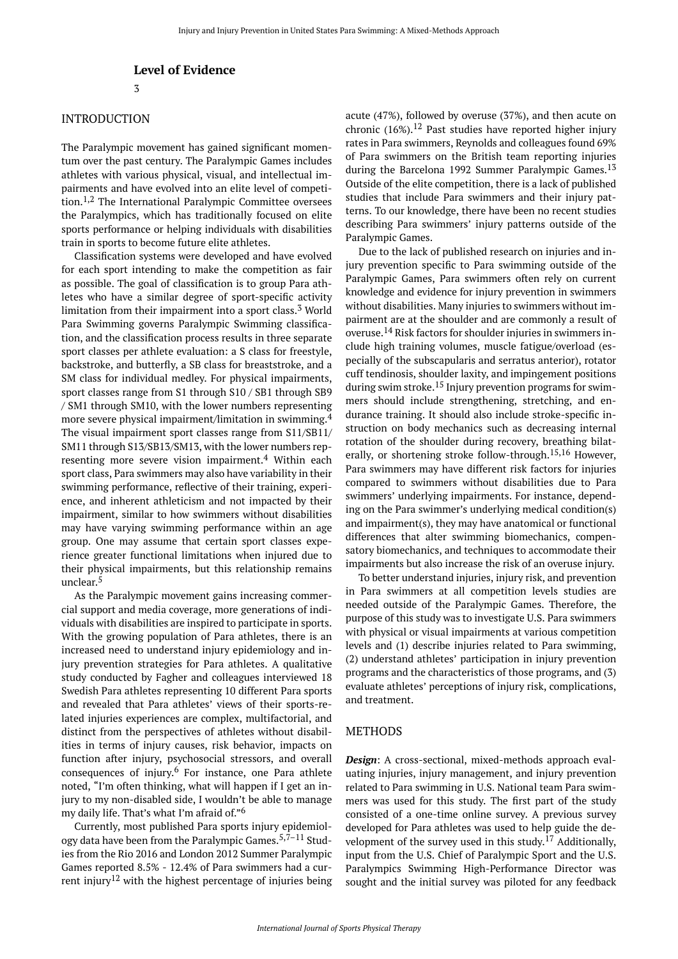# INTRODUCTION

The Paralympic movement has gained significant momentum over the past century. The Paralympic Games includes athletes with various physical, visual, and intellectual impairments and have evolved into an elite level of competition.1,2 The International Paralympic Committee oversees the Paralympics, which has traditionally focused on elite sports performance or helping individuals with disabilities train in sports to become future elite athletes.

Classification systems were developed and have evolved for each sport intending to make the competition as fair as possible. The goal of classification is to group Para athletes who have a similar degree of sport-specific activity limitation from their impairment into a sport class. $3$  World Para Swimming governs Paralympic Swimming classification, and the classification process results in three separate sport classes per athlete evaluation: a S class for freestyle, backstroke, and butterfly, a SB class for breaststroke, and a SM class for individual medley. For physical impairments, sport classes range from S1 through S10 / SB1 through SB9 / SM1 through SM10, with the lower numbers representing more severe physical impairment/limitation in swimming.<sup>4</sup> The visual impairment sport classes range from S11/SB11/ SM11 through S13/SB13/SM13, with the lower numbers representing more severe vision impairment.<sup>4</sup> Within each sport class, Para swimmers may also have variability in their swimming performance, reflective of their training, experience, and inherent athleticism and not impacted by their impairment, similar to how swimmers without disabilities may have varying swimming performance within an age group. One may assume that certain sport classes experience greater functional limitations when injured due to their physical impairments, but this relationship remains unclear. 5

As the Paralympic movement gains increasing commercial support and media coverage, more generations of individuals with disabilities are inspired to participate in sports. With the growing population of Para athletes, there is an increased need to understand injury epidemiology and injury prevention strategies for Para athletes. A qualitative study conducted by Fagher and colleagues interviewed 18 Swedish Para athletes representing 10 different Para sports and revealed that Para athletes' views of their sports-related injuries experiences are complex, multifactorial, and distinct from the perspectives of athletes without disabilities in terms of injury causes, risk behavior, impacts on function after injury, psychosocial stressors, and overall consequences of injury. <sup>6</sup> For instance, one Para athlete noted, "I'm often thinking, what will happen if I get an injury to my non-disabled side, I wouldn't be able to manage my daily life. That's what I'm afraid of." 6

Currently, most published Para sports injury epidemiology data have been from the Paralympic Games.<sup>5,7-11</sup> Studies from the Rio 2016 and London 2012 Summer Paralympic Games reported 8.5% - 12.4% of Para swimmers had a current injury<sup>12</sup> with the highest percentage of injuries being acute (47%), followed by overuse (37%), and then acute on chronic  $(16\%)$ .<sup>12</sup> Past studies have reported higher injury rates in Para swimmers, Reynolds and colleagues found 69% of Para swimmers on the British team reporting injuries during the Barcelona 1992 Summer Paralympic Games.<sup>13</sup> Outside of the elite competition, there is a lack of published studies that include Para swimmers and their injury patterns. To our knowledge, there have been no recent studies describing Para swimmers' injury patterns outside of the Paralympic Games.

Due to the lack of published research on injuries and injury prevention specific to Para swimming outside of the Paralympic Games, Para swimmers often rely on current knowledge and evidence for injury prevention in swimmers without disabilities. Many injuries to swimmers without impairment are at the shoulder and are commonly a result of overuse.<sup>14</sup> Risk factors for shoulder injuries in swimmers include high training volumes, muscle fatigue/overload (especially of the subscapularis and serratus anterior), rotator cuff tendinosis, shoulder laxity, and impingement positions during swim stroke.<sup>15</sup> Injury prevention programs for swimmers should include strengthening, stretching, and endurance training. It should also include stroke-specific instruction on body mechanics such as decreasing internal rotation of the shoulder during recovery, breathing bilaterally, or shortening stroke follow-through.15,16 However, Para swimmers may have different risk factors for injuries compared to swimmers without disabilities due to Para swimmers' underlying impairments. For instance, depending on the Para swimmer's underlying medical condition(s) and impairment(s), they may have anatomical or functional differences that alter swimming biomechanics, compensatory biomechanics, and techniques to accommodate their impairments but also increase the risk of an overuse injury.

To better understand injuries, injury risk, and prevention in Para swimmers at all competition levels studies are needed outside of the Paralympic Games. Therefore, the purpose of this study was to investigate U.S. Para swimmers with physical or visual impairments at various competition levels and (1) describe injuries related to Para swimming, (2) understand athletes' participation in injury prevention programs and the characteristics of those programs, and (3) evaluate athletes' perceptions of injury risk, complications, and treatment.

#### METHODS

*Design*: A cross-sectional, mixed-methods approach evaluating injuries, injury management, and injury prevention related to Para swimming in U.S. National team Para swimmers was used for this study. The first part of the study consisted of a one-time online survey. A previous survey developed for Para athletes was used to help guide the development of the survey used in this study.<sup>17</sup> Additionally, input from the U.S. Chief of Paralympic Sport and the U.S. Paralympics Swimming High-Performance Director was sought and the initial survey was piloted for any feedback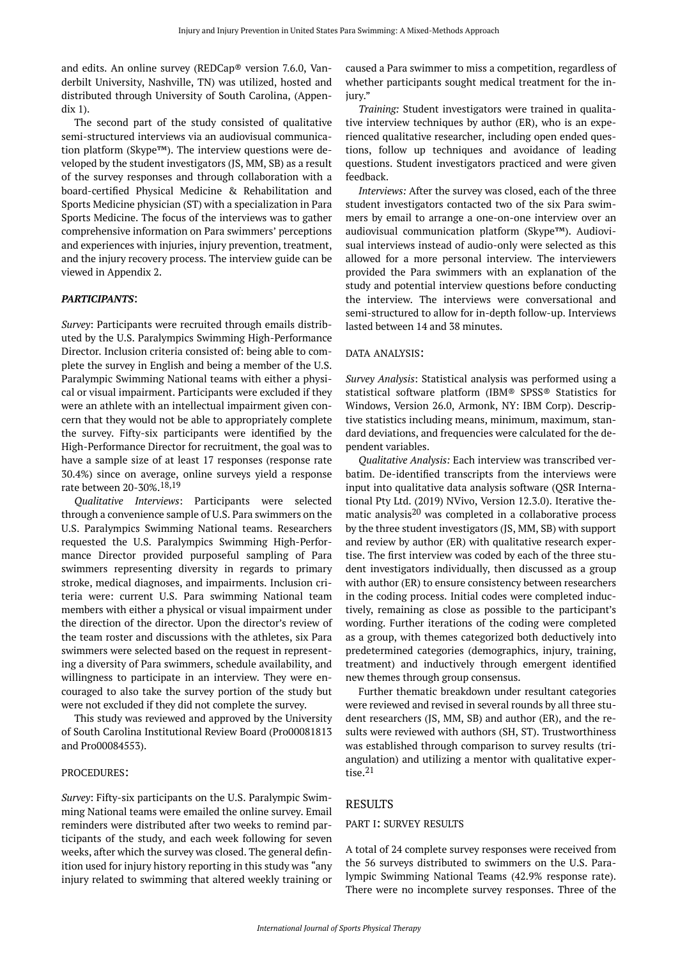and edits. An online survey (REDCap® version 7.6.0, Vanderbilt University, Nashville, TN) was utilized, hosted and distributed through University of South Carolina, (Appendix 1).

The second part of the study consisted of qualitative semi-structured interviews via an audiovisual communication platform (Skype™). The interview questions were developed by the student investigators (JS, MM, SB) as a result of the survey responses and through collaboration with a board-certified Physical Medicine & Rehabilitation and Sports Medicine physician (ST) with a specialization in Para Sports Medicine. The focus of the interviews was to gather comprehensive information on Para swimmers' perceptions and experiences with injuries, injury prevention, treatment, and the injury recovery process. The interview guide can be viewed in Appendix 2.

#### *PARTICIPANTS*:

*Survey*: Participants were recruited through emails distributed by the U.S. Paralympics Swimming High-Performance Director. Inclusion criteria consisted of: being able to complete the survey in English and being a member of the U.S. Paralympic Swimming National teams with either a physical or visual impairment. Participants were excluded if they were an athlete with an intellectual impairment given concern that they would not be able to appropriately complete the survey. Fifty-six participants were identified by the High-Performance Director for recruitment, the goal was to have a sample size of at least 17 responses (response rate 30.4%) since on average, online surveys yield a response rate between 20-30%.18,19

*Qualitative Interviews*: Participants were selected through a convenience sample of U.S. Para swimmers on the U.S. Paralympics Swimming National teams. Researchers requested the U.S. Paralympics Swimming High-Performance Director provided purposeful sampling of Para swimmers representing diversity in regards to primary stroke, medical diagnoses, and impairments. Inclusion criteria were: current U.S. Para swimming National team members with either a physical or visual impairment under the direction of the director. Upon the director's review of the team roster and discussions with the athletes, six Para swimmers were selected based on the request in representing a diversity of Para swimmers, schedule availability, and willingness to participate in an interview. They were encouraged to also take the survey portion of the study but were not excluded if they did not complete the survey.

This study was reviewed and approved by the University of South Carolina Institutional Review Board (Pro00081813 and Pro00084553).

#### PROCEDURES:

*Survey*: Fifty-six participants on the U.S. Paralympic Swimming National teams were emailed the online survey. Email reminders were distributed after two weeks to remind participants of the study, and each week following for seven weeks, after which the survey was closed. The general definition used for injury history reporting in this study was "any injury related to swimming that altered weekly training or

caused a Para swimmer to miss a competition, regardless of whether participants sought medical treatment for the injury."

*Training:* Student investigators were trained in qualitative interview techniques by author (ER), who is an experienced qualitative researcher, including open ended questions, follow up techniques and avoidance of leading questions. Student investigators practiced and were given feedback.

*Interviews:* After the survey was closed, each of the three student investigators contacted two of the six Para swimmers by email to arrange a one-on-one interview over an audiovisual communication platform (Skype™). Audiovisual interviews instead of audio-only were selected as this allowed for a more personal interview. The interviewers provided the Para swimmers with an explanation of the study and potential interview questions before conducting the interview. The interviews were conversational and semi-structured to allow for in-depth follow-up. Interviews lasted between 14 and 38 minutes.

#### DATA ANALYSIS:

*Survey Analysis*: Statistical analysis was performed using a statistical software platform (IBM® SPSS® Statistics for Windows, Version 26.0, Armonk, NY: IBM Corp). Descriptive statistics including means, minimum, maximum, standard deviations, and frequencies were calculated for the dependent variables.

*Qualitative Analysis:* Each interview was transcribed verbatim. De-identified transcripts from the interviews were input into qualitative data analysis software (QSR International Pty Ltd. (2019) NVivo, Version 12.3.0). Iterative thematic analysis<sup>20</sup> was completed in a collaborative process by the three student investigators (JS, MM, SB) with support and review by author (ER) with qualitative research expertise. The first interview was coded by each of the three student investigators individually, then discussed as a group with author (ER) to ensure consistency between researchers in the coding process. Initial codes were completed inductively, remaining as close as possible to the participant's wording. Further iterations of the coding were completed as a group, with themes categorized both deductively into predetermined categories (demographics, injury, training, treatment) and inductively through emergent identified new themes through group consensus.

Further thematic breakdown under resultant categories were reviewed and revised in several rounds by all three student researchers (JS, MM, SB) and author (ER), and the results were reviewed with authors (SH, ST). Trustworthiness was established through comparison to survey results (triangulation) and utilizing a mentor with qualitative expertise. $^{21}$ 

#### RESULTS

#### PART I: SURVEY RESULTS

A total of 24 complete survey responses were received from the 56 surveys distributed to swimmers on the U.S. Paralympic Swimming National Teams (42.9% response rate). There were no incomplete survey responses. Three of the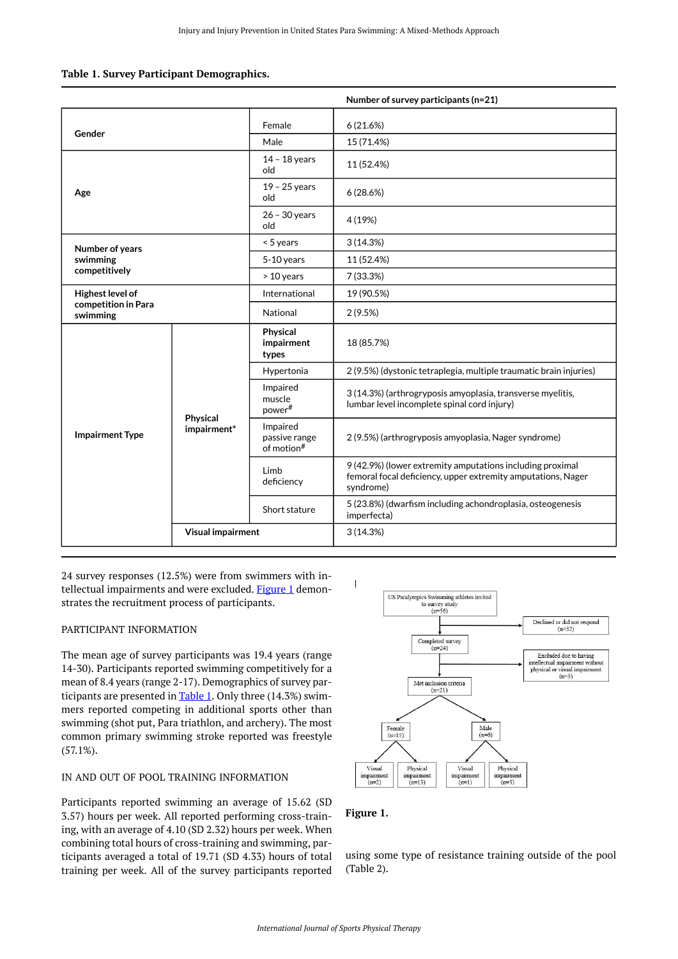<span id="page-3-1"></span>

|  |  |  | Table 1. Survey Participant Demographics. |
|--|--|--|-------------------------------------------|
|--|--|--|-------------------------------------------|

|                                 |                         |                                                     | Number of survey participants (n=21)                                                                                                   |  |  |
|---------------------------------|-------------------------|-----------------------------------------------------|----------------------------------------------------------------------------------------------------------------------------------------|--|--|
|                                 |                         | Female                                              | 6(21.6%)                                                                                                                               |  |  |
| Gender                          |                         | Male                                                | 15 (71.4%)                                                                                                                             |  |  |
|                                 |                         | $14 - 18$ years<br>old                              | 11 (52.4%)                                                                                                                             |  |  |
| Age                             |                         | $19 - 25$ years<br>old                              | 6(28.6%)                                                                                                                               |  |  |
|                                 |                         | $26 - 30$ years<br>old                              | 4 (19%)                                                                                                                                |  |  |
| Number of years                 |                         | $< 5$ years                                         | 3(14.3%)                                                                                                                               |  |  |
| swimming                        |                         | $5-10$ years                                        | 11 (52.4%)                                                                                                                             |  |  |
| competitively                   |                         | > 10 years                                          | 7 (33.3%)                                                                                                                              |  |  |
| Highest level of                |                         | International                                       | 19 (90.5%)                                                                                                                             |  |  |
| competition in Para<br>swimming |                         | National                                            | 2(9.5%)                                                                                                                                |  |  |
|                                 | Physical<br>impairment* | Physical<br>impairment<br>types                     | 18 (85.7%)                                                                                                                             |  |  |
|                                 |                         | Hypertonia                                          | 2 (9.5%) (dystonic tetraplegia, multiple traumatic brain injuries)                                                                     |  |  |
|                                 |                         | Impaired<br>muscle<br>power#                        | 3 (14.3%) (arthrogryposis amyoplasia, transverse myelitis,<br>lumbar level incomplete spinal cord injury)                              |  |  |
| <b>Impairment Type</b>          |                         | Impaired<br>passive range<br>of motion <sup>#</sup> | 2 (9.5%) (arthrogryposis amyoplasia, Nager syndrome)                                                                                   |  |  |
|                                 |                         | Limb<br>deficiency                                  | 9 (42.9%) (lower extremity amputations including proximal<br>femoral focal deficiency, upper extremity amputations, Nager<br>syndrome) |  |  |
|                                 |                         | Short stature                                       | 5 (23.8%) (dwarfism including achondroplasia, osteogenesis<br>imperfecta)                                                              |  |  |
|                                 | Visual impairment       |                                                     | 3(14.3%)                                                                                                                               |  |  |

<span id="page-3-0"></span>24 survey responses (12.5%) were from swimmers with in-tellectual impairments and were excluded. [Figure 1](#page-3-0) demonstrates the recruitment process of participants.

#### PARTICIPANT INFORMATION

The mean age of survey participants was 19.4 years (range 14-30). Participants reported swimming competitively for a mean of 8.4 years (range 2-17). Demographics of survey participants are presented in  $Table 1$ . Only three (14.3%) swimmers reported competing in additional sports other than swimming (shot put, Para triathlon, and archery). The most common primary swimming stroke reported was freestyle (57.1%).

#### IN AND OUT OF POOL TRAINING INFORMATION

Participants reported swimming an average of 15.62 (SD 3.57) hours per week. All reported performing cross-training, with an average of 4.10 (SD 2.32) hours per week. When combining total hours of cross-training and swimming, participants averaged a total of 19.71 (SD 4.33) hours of total training per week. All of the survey participants reported



#### **Figure 1.**

using some type of resistance training outside of the pool (Table 2).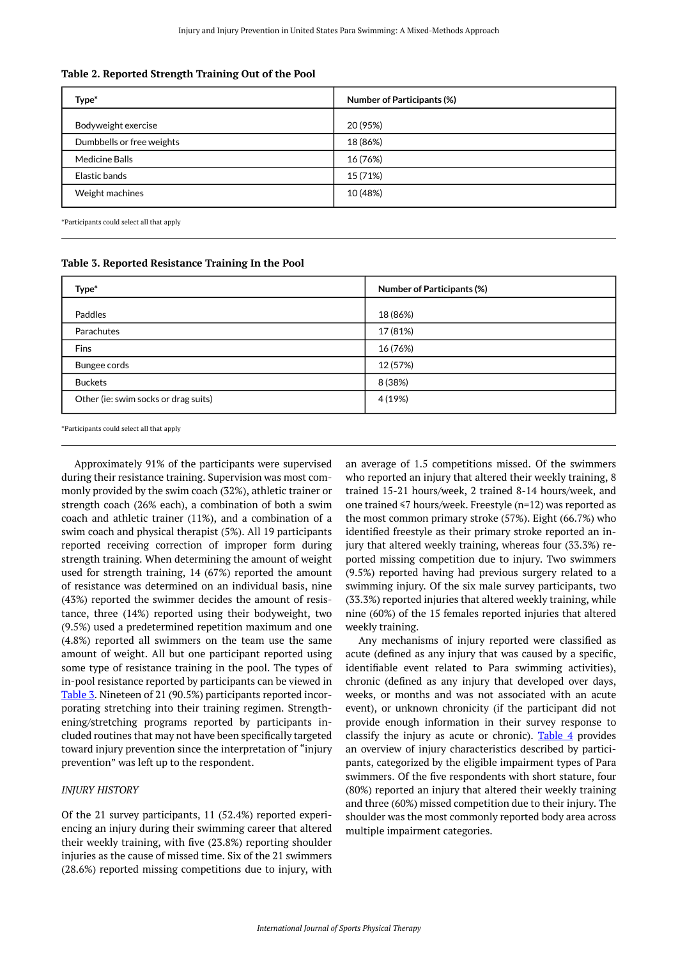| Type*                     | <b>Number of Participants (%)</b> |
|---------------------------|-----------------------------------|
| Bodyweight exercise       | 20 (95%)                          |
| Dumbbells or free weights | 18 (86%)                          |
| <b>Medicine Balls</b>     | 16 (76%)                          |
| Elastic bands             | 15 (71%)                          |
| Weight machines           | 10 (48%)                          |

\*Participants could select all that apply

<span id="page-4-0"></span>

| Table 3. Reported Resistance Training In the Pool |
|---------------------------------------------------|
|---------------------------------------------------|

| Type*                                | <b>Number of Participants (%)</b> |
|--------------------------------------|-----------------------------------|
| Paddles                              | 18 (86%)                          |
| Parachutes                           | 17 (81%)                          |
| Fins                                 | 16 (76%)                          |
| Bungee cords                         | 12 (57%)                          |
| <b>Buckets</b>                       | 8 (38%)                           |
| Other (ie: swim socks or drag suits) | 4 (19%)                           |

\*Participants could select all that apply

Approximately 91% of the participants were supervised during their resistance training. Supervision was most commonly provided by the swim coach (32%), athletic trainer or strength coach (26% each), a combination of both a swim coach and athletic trainer (11%), and a combination of a swim coach and physical therapist (5%). All 19 participants reported receiving correction of improper form during strength training. When determining the amount of weight used for strength training, 14 (67%) reported the amount of resistance was determined on an individual basis, nine (43%) reported the swimmer decides the amount of resistance, three (14%) reported using their bodyweight, two (9.5%) used a predetermined repetition maximum and one (4.8%) reported all swimmers on the team use the same amount of weight. All but one participant reported using some type of resistance training in the pool. The types of in-pool resistance reported by participants can be viewed in [Table 3.](#page-4-0) Nineteen of 21 (90.5%) participants reported incorporating stretching into their training regimen. Strengthening/stretching programs reported by participants included routines that may not have been specifically targeted toward injury prevention since the interpretation of "injury prevention" was left up to the respondent.

#### *INJURY HISTORY*

Of the 21 survey participants, 11 (52.4%) reported experiencing an injury during their swimming career that altered their weekly training, with five (23.8%) reporting shoulder injuries as the cause of missed time. Six of the 21 swimmers (28.6%) reported missing competitions due to injury, with an average of 1.5 competitions missed. Of the swimmers who reported an injury that altered their weekly training, 8 trained 15-21 hours/week, 2 trained 8-14 hours/week, and one trained ≤7 hours/week. Freestyle (n=12) was reported as the most common primary stroke (57%). Eight (66.7%) who identified freestyle as their primary stroke reported an injury that altered weekly training, whereas four (33.3%) reported missing competition due to injury. Two swimmers (9.5%) reported having had previous surgery related to a swimming injury. Of the six male survey participants, two (33.3%) reported injuries that altered weekly training, while nine (60%) of the 15 females reported injuries that altered weekly training.

Any mechanisms of injury reported were classified as acute (defined as any injury that was caused by a specific, identifiable event related to Para swimming activities), chronic (defined as any injury that developed over days, weeks, or months and was not associated with an acute event), or unknown chronicity (if the participant did not provide enough information in their survey response to classify the injury as acute or chronic). Table  $4$  provides an overview of injury characteristics described by participants, categorized by the eligible impairment types of Para swimmers. Of the five respondents with short stature, four (80%) reported an injury that altered their weekly training and three (60%) missed competition due to their injury. The shoulder was the most commonly reported body area across multiple impairment categories.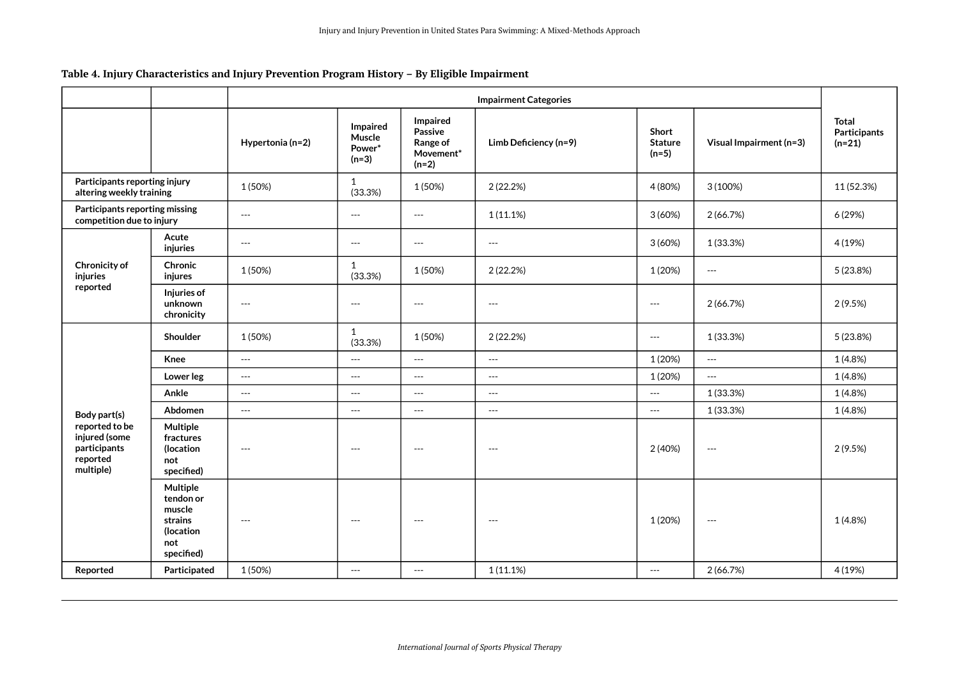# **Table 4. Injury Characteristics and Injury Prevention Program History – By Eligible Impairment**

<span id="page-5-0"></span>

|                                                                          |                                                                              | <b>Impairment Categories</b>             |                                          |                                                         |                                          |                                          |                                          |                                                 |
|--------------------------------------------------------------------------|------------------------------------------------------------------------------|------------------------------------------|------------------------------------------|---------------------------------------------------------|------------------------------------------|------------------------------------------|------------------------------------------|-------------------------------------------------|
|                                                                          |                                                                              | Hypertonia (n=2)                         | Impaired<br>Muscle<br>Power*<br>$(n=3)$  | Impaired<br>Passive<br>Range of<br>Movement*<br>$(n=2)$ | Limb Deficiency (n=9)                    | Short<br><b>Stature</b><br>$(n=5)$       | Visual Impairment (n=3)                  | <b>Total</b><br><b>Participants</b><br>$(n=21)$ |
| Participants reporting injury<br>altering weekly training                |                                                                              | 1 (50%)                                  | 1<br>(33.3%)                             | 1 (50%)                                                 | 2 (22.2%)                                | 4 (80%)                                  | 3(100%)                                  | 11 (52.3%)                                      |
| Participants reporting missing<br>competition due to injury              |                                                                              | $\hspace{0.05cm} \ldots$                 | $\hspace{0.05cm} \ldots$                 | $\hspace{0.05cm} \ldots$                                | 1(11.1%)                                 | 3(60%)                                   | 2 (66.7%)                                | 6 (29%)                                         |
| Chronicity of<br>injuries<br>reported                                    | Acute<br>injuries                                                            | $---$                                    | $\hspace{0.05cm} \ldots$                 | $---$                                                   | $---$                                    | 3(60%)                                   | 1 (33.3%)                                | 4 (19%)                                         |
|                                                                          | Chronic<br>injures                                                           | 1 (50%)                                  | $\mathbf{1}$<br>(33.3%)                  | 1 (50%)                                                 | 2(22.2%)                                 | 1 (20%)                                  | $\hspace{0.05cm} \ldots \hspace{0.05cm}$ | 5 (23.8%)                                       |
|                                                                          | Injuries of<br>unknown<br>chronicity                                         | $\hspace{0.05cm} \ldots \hspace{0.05cm}$ | $\hspace{0.05cm} \ldots \hspace{0.05cm}$ | $---$                                                   | $\hspace{0.05cm} \ldots \hspace{0.05cm}$ | $---$                                    | 2 (66.7%)                                | 2(9.5%)                                         |
|                                                                          | Shoulder                                                                     | 1 (50%)                                  | 1<br>(33.3%)                             | 1 (50%)                                                 | 2 (22.2%)                                | $\overline{a}$                           | 1 (33.3%)                                | 5 (23.8%)                                       |
|                                                                          | Knee                                                                         | $\hspace{0.05cm} \ldots \hspace{0.05cm}$ | $\hspace{0.05cm} \ldots$                 | $\overline{a}$                                          | $\overline{\phantom{a}}$                 | 1 (20%)                                  | $\overline{a}$                           | 1(4.8%)                                         |
|                                                                          | Lower leg                                                                    | $\hspace{0.05cm} \ldots$                 | $\hspace{0.05cm} \ldots$                 | $\hspace{0.05cm} \ldots$                                | $---$                                    | 1 (20%)                                  | $\hspace{0.05cm} \ldots$                 | 1(4.8%)                                         |
|                                                                          | Ankle                                                                        | $\hspace{0.05cm} \ldots$                 | $\hspace{0.05cm} \ldots$                 | $\hspace{0.05cm} \ldots$                                | $--$                                     | $\hspace{0.05cm} \ldots \hspace{0.05cm}$ | 1 (33.3%)                                | 1(4.8%)                                         |
| Body part(s)                                                             | Abdomen                                                                      | $\overline{\phantom{a}}$                 | $\overline{a}$                           | $---$                                                   | $---$                                    | $\overline{a}$                           | 1 (33.3%)                                | 1(4.8%)                                         |
| reported to be<br>injured (some<br>participants<br>reported<br>multiple) | Multiple<br>fractures<br>(location<br>not<br>specified)                      | $---$                                    | $\hspace{0.05cm} \ldots \hspace{0.05cm}$ | $\qquad \qquad - -$                                     | $\hspace{0.05cm} \ldots \hspace{0.05cm}$ | 2 (40%)                                  | $\hspace{0.05cm} \ldots \hspace{0.05cm}$ | 2(9.5%)                                         |
|                                                                          | Multiple<br>tendon or<br>muscle<br>strains<br>(location<br>not<br>specified) | $---$                                    | $\hspace{0.05cm} \ldots \hspace{0.05cm}$ | $---$                                                   | $--$                                     | 1 (20%)                                  | $\hspace{0.05cm} \ldots \hspace{0.05cm}$ | 1 (4.8%)                                        |
| Reported                                                                 | Participated                                                                 | 1 (50%)                                  | $\overline{a}$                           | $---$                                                   | 1(11.1%)                                 | $---$                                    | 2(66.7%)                                 | 4 (19%)                                         |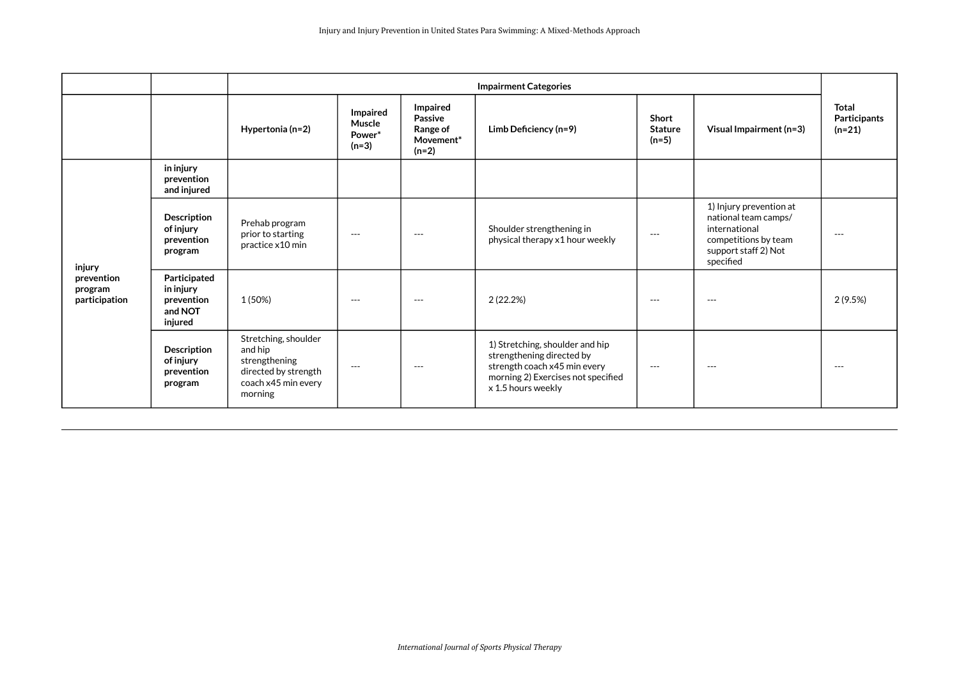|                                                  |                                                               | <b>Impairment Categories</b>                                                                               |                                         |                                                                |                                                                                                                                                          |                                           |                                                                                                                               |                                   |
|--------------------------------------------------|---------------------------------------------------------------|------------------------------------------------------------------------------------------------------------|-----------------------------------------|----------------------------------------------------------------|----------------------------------------------------------------------------------------------------------------------------------------------------------|-------------------------------------------|-------------------------------------------------------------------------------------------------------------------------------|-----------------------------------|
|                                                  |                                                               | Hypertonia (n=2)                                                                                           | Impaired<br>Muscle<br>Power*<br>$(n=3)$ | Impaired<br>Passive<br><b>Range of</b><br>Movement*<br>$(n=2)$ | Limb Deficiency (n=9)                                                                                                                                    | <b>Short</b><br><b>Stature</b><br>$(n=5)$ | Visual Impairment (n=3)                                                                                                       | Total<br>Participants<br>$(n=21)$ |
| injury<br>prevention<br>program<br>participation | in injury<br>prevention<br>and injured                        |                                                                                                            |                                         |                                                                |                                                                                                                                                          |                                           |                                                                                                                               |                                   |
|                                                  | <b>Description</b><br>of injury<br>prevention<br>program      | Prehab program<br>prior to starting<br>practice x10 min                                                    | $---$                                   | $---$                                                          | Shoulder strengthening in<br>physical therapy x1 hour weekly                                                                                             | $---$                                     | 1) Injury prevention at<br>national team camps/<br>international<br>competitions by team<br>support staff 2) Not<br>specified | $---$                             |
|                                                  | Participated<br>in injury<br>prevention<br>and NOT<br>injured | 1 (50%)                                                                                                    | $---$                                   | $---$                                                          | 2(22.2%)                                                                                                                                                 | $---$                                     | $---$                                                                                                                         | 2(9.5%)                           |
|                                                  | <b>Description</b><br>of injury<br>prevention<br>program      | Stretching, shoulder<br>and hip<br>strengthening<br>directed by strength<br>coach x45 min every<br>morning | $---$                                   | $---$                                                          | 1) Stretching, shoulder and hip<br>strengthening directed by<br>strength coach x45 min every<br>morning 2) Exercises not specified<br>x 1.5 hours weekly | $---$                                     | $---$                                                                                                                         | $---$                             |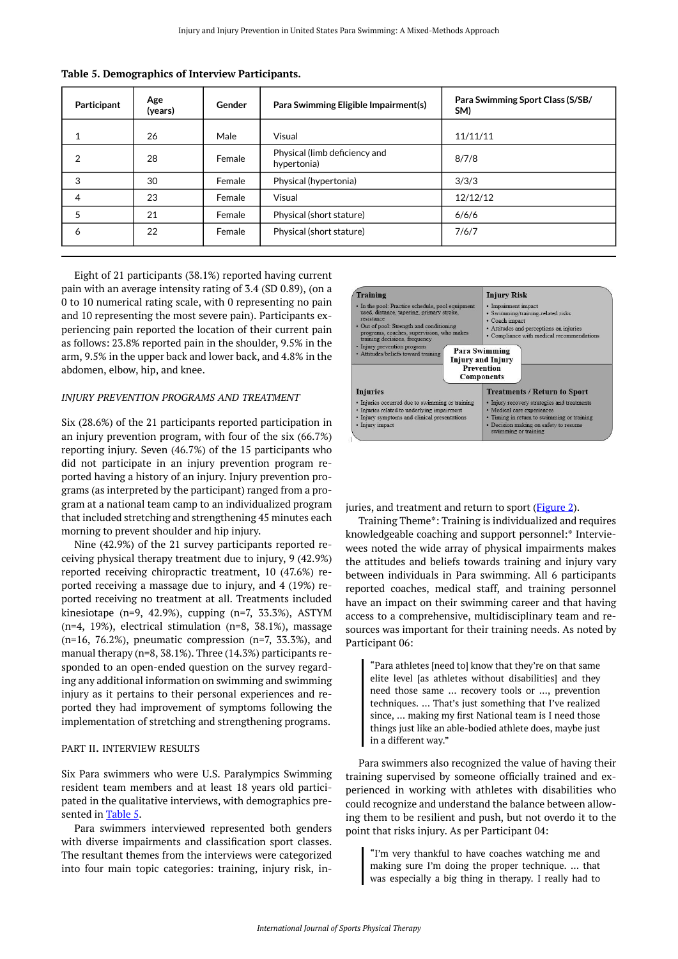| Participant    | Age<br>(years) | Gender | Para Swimming Eligible Impairment(s)         | Para Swimming Sport Class (S/SB/<br>SM) |
|----------------|----------------|--------|----------------------------------------------|-----------------------------------------|
|                | 26             | Male   | Visual                                       | 11/11/11                                |
| 2              | 28             | Female | Physical (limb deficiency and<br>hypertonia) | 8/7/8                                   |
| 3              | 30             | Female | Physical (hypertonia)                        | 3/3/3                                   |
| $\overline{a}$ | 23             | Female | Visual                                       | 12/12/12                                |
| 5              | 21             | Female | Physical (short stature)                     | 6/6/6                                   |
| 6              | 22             | Female | Physical (short stature)                     | 7/6/7                                   |

<span id="page-7-0"></span>**Table 5. Demographics of Interview Participants.** 

<span id="page-7-1"></span>Eight of 21 participants (38.1%) reported having current pain with an average intensity rating of 3.4 (SD 0.89), (on a 0 to 10 numerical rating scale, with 0 representing no pain and 10 representing the most severe pain). Participants experiencing pain reported the location of their current pain as follows: 23.8% reported pain in the shoulder, 9.5% in the arm, 9.5% in the upper back and lower back, and 4.8% in the abdomen, elbow, hip, and knee.

#### *INJURY PREVENTION PROGRAMS AND TREATMENT*

Six (28.6%) of the 21 participants reported participation in an injury prevention program, with four of the six (66.7%) reporting injury. Seven (46.7%) of the 15 participants who did not participate in an injury prevention program reported having a history of an injury. Injury prevention programs (as interpreted by the participant) ranged from a program at a national team camp to an individualized program that included stretching and strengthening 45 minutes each morning to prevent shoulder and hip injury.

Nine (42.9%) of the 21 survey participants reported receiving physical therapy treatment due to injury, 9 (42.9%) reported receiving chiropractic treatment, 10 (47.6%) reported receiving a massage due to injury, and 4 (19%) reported receiving no treatment at all. Treatments included kinesiotape (n=9, 42.9%), cupping (n=7, 33.3%), ASTYM (n=4, 19%), electrical stimulation (n=8, 38.1%), massage (n=16, 76.2%), pneumatic compression (n=7, 33.3%), and manual therapy (n=8, 38.1%). Three (14.3%) participants responded to an open-ended question on the survey regarding any additional information on swimming and swimming injury as it pertains to their personal experiences and reported they had improvement of symptoms following the implementation of stretching and strengthening programs.

#### PART II. INTERVIEW RESULTS

Six Para swimmers who were U.S. Paralympics Swimming resident team members and at least 18 years old participated in the qualitative interviews, with demographics pre-sented in [Table 5](#page-7-0).

Para swimmers interviewed represented both genders with diverse impairments and classification sport classes. The resultant themes from the interviews were categorized into four main topic categories: training, injury risk, in-



juries, and treatment and return to sport [\(Figure 2\)](#page-7-1).

Training Theme\*: Training is individualized and requires knowledgeable coaching and support personnel:\* Interviewees noted the wide array of physical impairments makes the attitudes and beliefs towards training and injury vary between individuals in Para swimming. All 6 participants reported coaches, medical staff, and training personnel have an impact on their swimming career and that having access to a comprehensive, multidisciplinary team and resources was important for their training needs. As noted by Participant 06:

"Para athletes [need to] know that they're on that same elite level [as athletes without disabilities] and they need those same … recovery tools or …, prevention techniques. … That's just something that I've realized since, … making my first National team is I need those things just like an able-bodied athlete does, maybe just in a different way."

Para swimmers also recognized the value of having their training supervised by someone officially trained and experienced in working with athletes with disabilities who could recognize and understand the balance between allowing them to be resilient and push, but not overdo it to the point that risks injury. As per Participant 04:

"I'm very thankful to have coaches watching me and making sure I'm doing the proper technique. … that was especially a big thing in therapy. I really had to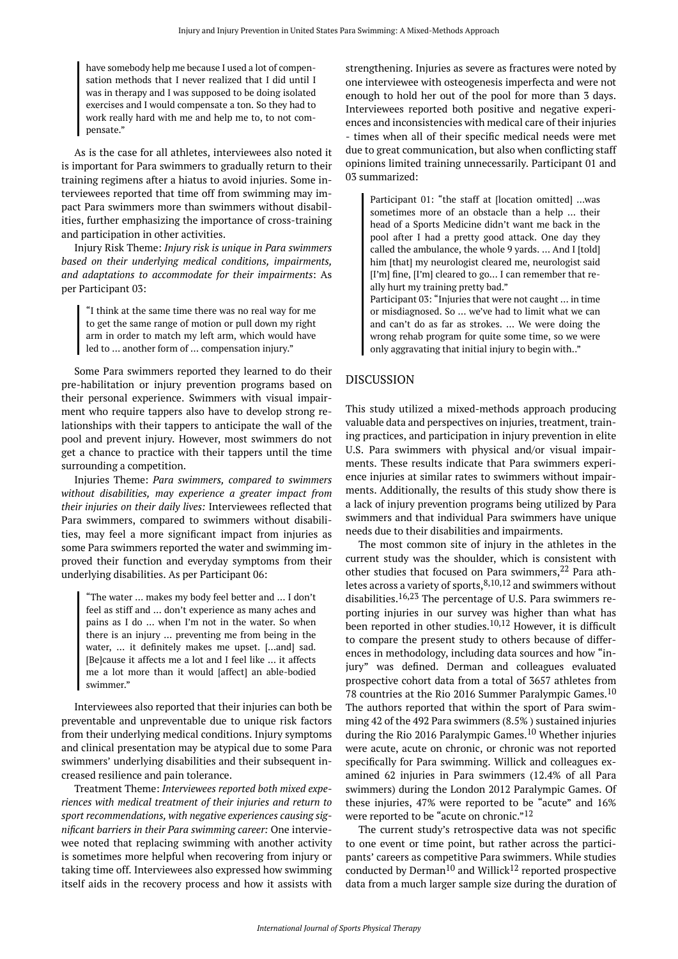have somebody help me because I used a lot of compensation methods that I never realized that I did until I was in therapy and I was supposed to be doing isolated exercises and I would compensate a ton. So they had to work really hard with me and help me to, to not compensate."

As is the case for all athletes, interviewees also noted it is important for Para swimmers to gradually return to their training regimens after a hiatus to avoid injuries. Some interviewees reported that time off from swimming may impact Para swimmers more than swimmers without disabilities, further emphasizing the importance of cross-training and participation in other activities.

Injury Risk Theme: *Injury risk is unique in Para swimmers based on their underlying medical conditions, impairments, and adaptations to accommodate for their impairments*: As per Participant 03:

"I think at the same time there was no real way for me to get the same range of motion or pull down my right arm in order to match my left arm, which would have led to … another form of … compensation injury."

Some Para swimmers reported they learned to do their pre-habilitation or injury prevention programs based on their personal experience. Swimmers with visual impairment who require tappers also have to develop strong relationships with their tappers to anticipate the wall of the pool and prevent injury. However, most swimmers do not get a chance to practice with their tappers until the time surrounding a competition.

Injuries Theme: *Para swimmers, compared to swimmers without disabilities, may experience a greater impact from their injuries on their daily lives:* Interviewees reflected that Para swimmers, compared to swimmers without disabilities, may feel a more significant impact from injuries as some Para swimmers reported the water and swimming improved their function and everyday symptoms from their underlying disabilities. As per Participant 06:

"The water … makes my body feel better and … I don't feel as stiff and … don't experience as many aches and pains as I do … when I'm not in the water. So when there is an injury … preventing me from being in the water, … it definitely makes me upset. […and] sad. [Be]cause it affects me a lot and I feel like … it affects me a lot more than it would [affect] an able-bodied swimmer."

Interviewees also reported that their injuries can both be preventable and unpreventable due to unique risk factors from their underlying medical conditions. Injury symptoms and clinical presentation may be atypical due to some Para swimmers' underlying disabilities and their subsequent increased resilience and pain tolerance.

Treatment Theme: *Interviewees reported both mixed experiences with medical treatment of their injuries and return to sport recommendations, with negative experiences causing significant barriers in their Para swimming career:* One interviewee noted that replacing swimming with another activity is sometimes more helpful when recovering from injury or taking time off. Interviewees also expressed how swimming itself aids in the recovery process and how it assists with

strengthening. Injuries as severe as fractures were noted by one interviewee with osteogenesis imperfecta and were not enough to hold her out of the pool for more than 3 days. Interviewees reported both positive and negative experiences and inconsistencies with medical care of their injuries - times when all of their specific medical needs were met due to great communication, but also when conflicting staff opinions limited training unnecessarily. Participant 01 and 03 summarized:

Participant 01: "the staff at [location omitted] …was sometimes more of an obstacle than a help … their head of a Sports Medicine didn't want me back in the pool after I had a pretty good attack. One day they called the ambulance, the whole 9 yards. … And I [told] him [that] my neurologist cleared me, neurologist said [I'm] fine, [I'm] cleared to go... I can remember that really hurt my training pretty bad."

Participant 03: "Injuries that were not caught … in time or misdiagnosed. So … we've had to limit what we can and can't do as far as strokes. … We were doing the wrong rehab program for quite some time, so we were only aggravating that initial injury to begin with.."

# DISCUSSION

This study utilized a mixed-methods approach producing valuable data and perspectives on injuries, treatment, training practices, and participation in injury prevention in elite U.S. Para swimmers with physical and/or visual impairments. These results indicate that Para swimmers experience injuries at similar rates to swimmers without impairments. Additionally, the results of this study show there is a lack of injury prevention programs being utilized by Para swimmers and that individual Para swimmers have unique needs due to their disabilities and impairments.

The most common site of injury in the athletes in the current study was the shoulder, which is consistent with other studies that focused on Para swimmers,  $22$  Para athletes across a variety of sports,  $8,10,12$  and swimmers without disabilities.16,23 The percentage of U.S. Para swimmers reporting injuries in our survey was higher than what has been reported in other studies.<sup>10,12</sup> However, it is difficult to compare the present study to others because of differences in methodology, including data sources and how "injury" was defined. Derman and colleagues evaluated prospective cohort data from a total of 3657 athletes from 78 countries at the Rio 2016 Summer Paralympic Games.<sup>10</sup> The authors reported that within the sport of Para swimming 42 of the 492 Para swimmers (8.5% ) sustained injuries during the Rio 2016 Paralympic Games.<sup>10</sup> Whether injuries were acute, acute on chronic, or chronic was not reported specifically for Para swimming. Willick and colleagues examined 62 injuries in Para swimmers (12.4% of all Para swimmers) during the London 2012 Paralympic Games. Of these injuries, 47% were reported to be "acute" and 16% were reported to be "acute on chronic."  $^{12}$ 

The current study's retrospective data was not specific to one event or time point, but rather across the participants' careers as competitive Para swimmers. While studies conducted by Derman<sup>10</sup> and Willick<sup>12</sup> reported prospective data from a much larger sample size during the duration of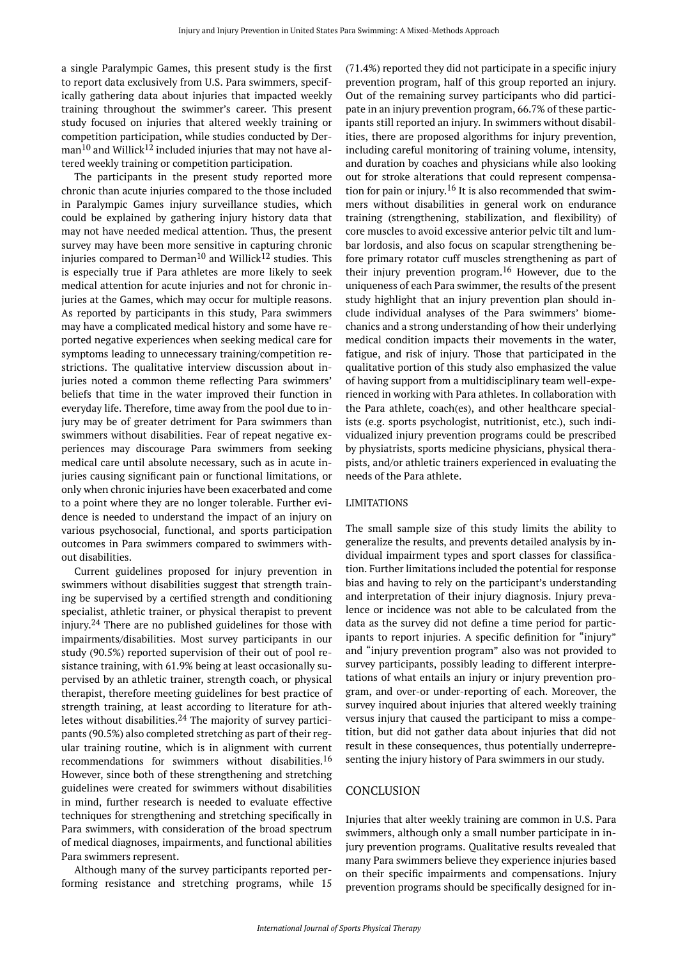a single Paralympic Games, this present study is the first to report data exclusively from U.S. Para swimmers, specifically gathering data about injuries that impacted weekly training throughout the swimmer's career. This present study focused on injuries that altered weekly training or competition participation, while studies conducted by Derman<sup>10</sup> and Willick<sup>12</sup> included injuries that may not have altered weekly training or competition participation.

The participants in the present study reported more chronic than acute injuries compared to the those included in Paralympic Games injury surveillance studies, which could be explained by gathering injury history data that may not have needed medical attention. Thus, the present survey may have been more sensitive in capturing chronic injuries compared to Derman<sup>10</sup> and Willick<sup>12</sup> studies. This is especially true if Para athletes are more likely to seek medical attention for acute injuries and not for chronic injuries at the Games, which may occur for multiple reasons. As reported by participants in this study, Para swimmers may have a complicated medical history and some have reported negative experiences when seeking medical care for symptoms leading to unnecessary training/competition restrictions. The qualitative interview discussion about injuries noted a common theme reflecting Para swimmers' beliefs that time in the water improved their function in everyday life. Therefore, time away from the pool due to injury may be of greater detriment for Para swimmers than swimmers without disabilities. Fear of repeat negative experiences may discourage Para swimmers from seeking medical care until absolute necessary, such as in acute injuries causing significant pain or functional limitations, or only when chronic injuries have been exacerbated and come to a point where they are no longer tolerable. Further evidence is needed to understand the impact of an injury on various psychosocial, functional, and sports participation outcomes in Para swimmers compared to swimmers without disabilities.

Current guidelines proposed for injury prevention in swimmers without disabilities suggest that strength training be supervised by a certified strength and conditioning specialist, athletic trainer, or physical therapist to prevent injury.<sup>24</sup> There are no published guidelines for those with impairments/disabilities. Most survey participants in our study (90.5%) reported supervision of their out of pool resistance training, with 61.9% being at least occasionally supervised by an athletic trainer, strength coach, or physical therapist, therefore meeting guidelines for best practice of strength training, at least according to literature for athletes without disabilities. $24$  The majority of survey participants (90.5%) also completed stretching as part of their regular training routine, which is in alignment with current recommendations for swimmers without disabilities.<sup>16</sup> However, since both of these strengthening and stretching guidelines were created for swimmers without disabilities in mind, further research is needed to evaluate effective techniques for strengthening and stretching specifically in Para swimmers, with consideration of the broad spectrum of medical diagnoses, impairments, and functional abilities Para swimmers represent.

Although many of the survey participants reported performing resistance and stretching programs, while 15 (71.4%) reported they did not participate in a specific injury prevention program, half of this group reported an injury. Out of the remaining survey participants who did participate in an injury prevention program, 66.7% of these participants still reported an injury. In swimmers without disabilities, there are proposed algorithms for injury prevention, including careful monitoring of training volume, intensity, and duration by coaches and physicians while also looking out for stroke alterations that could represent compensation for pain or injury.<sup>16</sup> It is also recommended that swimmers without disabilities in general work on endurance training (strengthening, stabilization, and flexibility) of core muscles to avoid excessive anterior pelvic tilt and lumbar lordosis, and also focus on scapular strengthening before primary rotator cuff muscles strengthening as part of their injury prevention program.<sup>16</sup> However, due to the uniqueness of each Para swimmer, the results of the present study highlight that an injury prevention plan should include individual analyses of the Para swimmers' biomechanics and a strong understanding of how their underlying medical condition impacts their movements in the water, fatigue, and risk of injury. Those that participated in the qualitative portion of this study also emphasized the value of having support from a multidisciplinary team well-experienced in working with Para athletes. In collaboration with the Para athlete, coach(es), and other healthcare specialists (e.g. sports psychologist, nutritionist, etc.), such individualized injury prevention programs could be prescribed by physiatrists, sports medicine physicians, physical therapists, and/or athletic trainers experienced in evaluating the needs of the Para athlete.

#### LIMITATIONS

The small sample size of this study limits the ability to generalize the results, and prevents detailed analysis by individual impairment types and sport classes for classification. Further limitations included the potential for response bias and having to rely on the participant's understanding and interpretation of their injury diagnosis. Injury prevalence or incidence was not able to be calculated from the data as the survey did not define a time period for participants to report injuries. A specific definition for "injury" and "injury prevention program" also was not provided to survey participants, possibly leading to different interpretations of what entails an injury or injury prevention program, and over-or under-reporting of each. Moreover, the survey inquired about injuries that altered weekly training versus injury that caused the participant to miss a competition, but did not gather data about injuries that did not result in these consequences, thus potentially underrepresenting the injury history of Para swimmers in our study.

### CONCLUSION

Injuries that alter weekly training are common in U.S. Para swimmers, although only a small number participate in injury prevention programs. Qualitative results revealed that many Para swimmers believe they experience injuries based on their specific impairments and compensations. Injury prevention programs should be specifically designed for in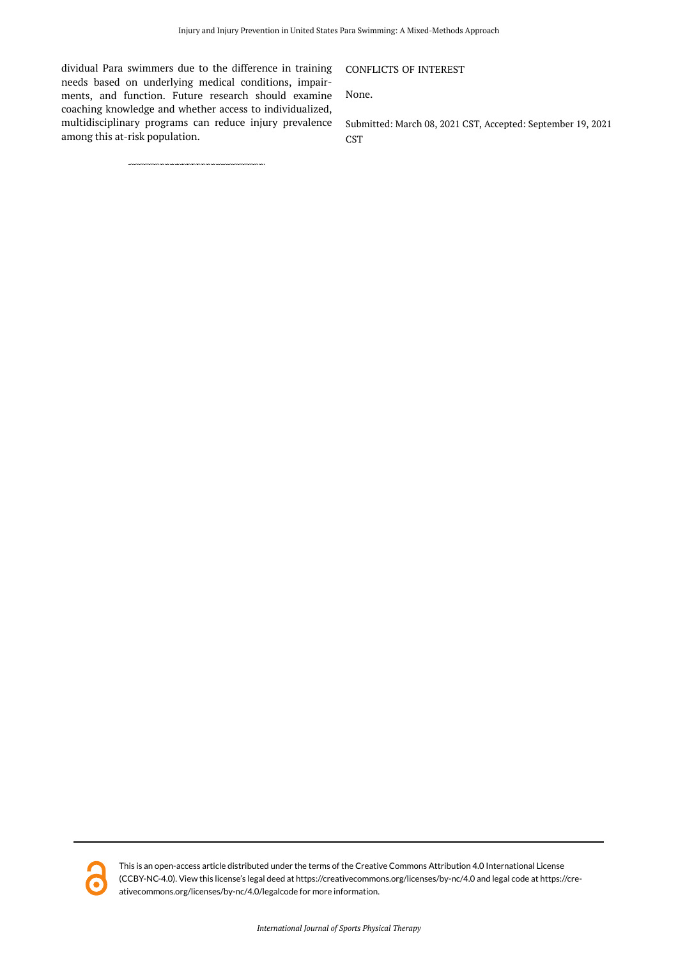dividual Para swimmers due to the difference in training needs based on underlying medical conditions, impairments, and function. Future research should examine coaching knowledge and whether access to individualized, multidisciplinary programs can reduce injury prevalence among this at-risk population.

# CONFLICTS OF INTEREST

None.

Submitted: March 08, 2021 CST, Accepted: September 19, 2021 CST

This is an open-access article distributed under the terms of the Creative Commons Attribution 4.0 International License (CCBY-NC-4.0). View this license's legal deed at https://creativecommons.org/licenses/by-nc/4.0 and legal code at https://creativecommons.org/licenses/by-nc/4.0/legalcode for more information.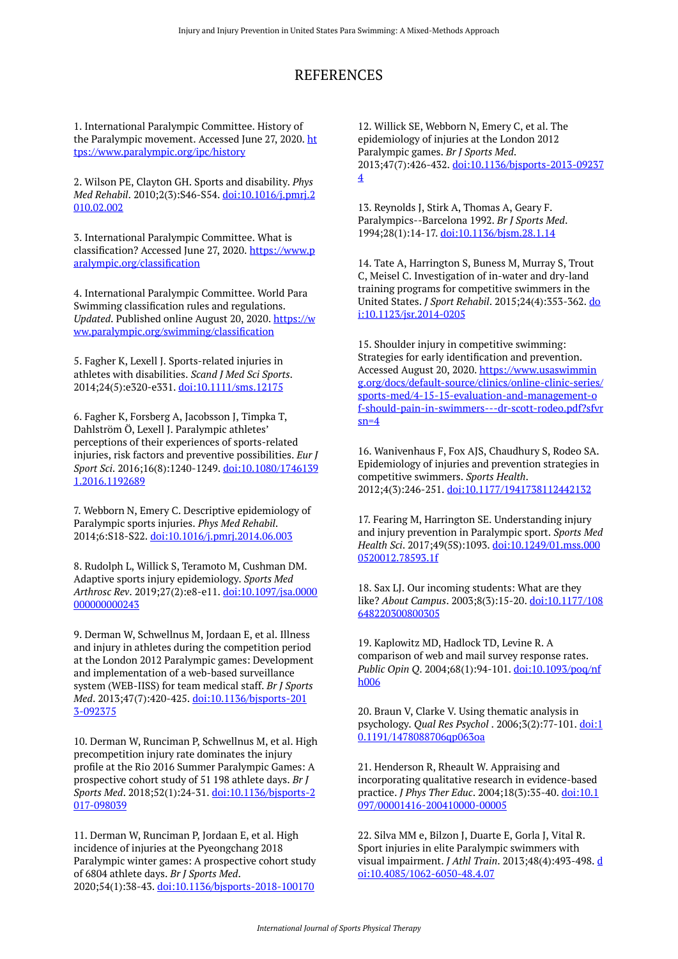# REFERENCES

1. International Paralympic Committee. History of the Paralympic movement. Accessed June 27, 2020. [ht](https://www.paralympic.org/ipc/history) [tps://www.paralympic.org/ipc/history](https://www.paralympic.org/ipc/history)

2. Wilson PE, Clayton GH. Sports and disability. *Phys Med Rehabil*. 2010;2(3):S46-S54. [doi:10.1016/j.pmrj.2](https://doi.org/10.1016/j.pmrj.2010.02.002) [010.02.002](https://doi.org/10.1016/j.pmrj.2010.02.002)

3. International Paralympic Committee. What is classification? Accessed June 27, 2020. [https://www.p](https://www.paralympic.org/classification) [aralympic.org/classification](https://www.paralympic.org/classification) 

4. International Paralympic Committee. World Para Swimming classification rules and regulations. *Updated*. Published online August 20, 2020. [https://w](https://www.paralympic.org/swimming/classification) [ww.paralympic.org/swimming/classification](https://www.paralympic.org/swimming/classification) 

5. Fagher K, Lexell J. Sports-related injuries in athletes with disabilities. *Scand J Med Sci Sports*. 2014;24(5):e320-e331. [doi:10.1111/sms.12175](https://doi.org/10.1111/sms.12175) 

6. Fagher K, Forsberg A, Jacobsson J, Timpka T, Dahlström Ö, Lexell J. Paralympic athletes' perceptions of their experiences of sports-related injuries, risk factors and preventive possibilities. *Eur J Sport Sci*. 2016;16(8):1240-1249. [doi:10.1080/1746139](https://doi.org/10.1080/17461391.2016.1192689) [1.2016.1192689](https://doi.org/10.1080/17461391.2016.1192689)

7. Webborn N, Emery C. Descriptive epidemiology of Paralympic sports injuries. *Phys Med Rehabil*. 2014;6:S18-S22. [doi:10.1016/j.pmrj.2014.06.003](https://doi.org/10.1016/j.pmrj.2014.06.003) 

8. Rudolph L, Willick S, Teramoto M, Cushman DM. Adaptive sports injury epidemiology. *Sports Med Arthrosc Rev*. 2019;27(2):e8-e11. [doi:10.1097/jsa.0000](https://doi.org/10.1097/jsa.0000000000000243) [000000000243](https://doi.org/10.1097/jsa.0000000000000243)

9. Derman W, Schwellnus M, Jordaan E, et al. Illness and injury in athletes during the competition period at the London 2012 Paralympic games: Development and implementation of a web-based surveillance system (WEB-IISS) for team medical staff. *Br J Sports Med*. 2013;47(7):420-425. [doi:10.1136/bjsports-201](https://doi.org/10.1136/bjsports-2013-092375) [3-092375](https://doi.org/10.1136/bjsports-2013-092375)

10. Derman W, Runciman P, Schwellnus M, et al. High precompetition injury rate dominates the injury profile at the Rio 2016 Summer Paralympic Games: A prospective cohort study of 51 198 athlete days. *Br J Sports Med*. 2018;52(1):24-31. [doi:10.1136/bjsports-2](https://doi.org/10.1136/bjsports-2017-098039) [017-098039](https://doi.org/10.1136/bjsports-2017-098039)

11. Derman W, Runciman P, Jordaan E, et al. High incidence of injuries at the Pyeongchang 2018 Paralympic winter games: A prospective cohort study of 6804 athlete days. *Br J Sports Med*. 2020;54(1):38-43. [doi:10.1136/bjsports-2018-100170](https://doi.org/10.1136/bjsports-2018-100170) 

12. Willick SE, Webborn N, Emery C, et al. The epidemiology of injuries at the London 2012 Paralympic games. *Br J Sports Med*. 2013;47(7):426-432. [doi:10.1136/bjsports-2013-09237](https://doi.org/10.1136/bjsports-2013-092374) [4](https://doi.org/10.1136/bjsports-2013-092374)

13. Reynolds J, Stirk A, Thomas A, Geary F. Paralympics--Barcelona 1992. *Br J Sports Med*. 1994;28(1):14-17. [doi:10.1136/bjsm.28.1.14](https://doi.org/10.1136/bjsm.28.1.14) 

14. Tate A, Harrington S, Buness M, Murray S, Trout C, Meisel C. Investigation of in-water and dry-land training programs for competitive swimmers in the United States. *J Sport Rehabil*. 2015;24(4):353-362. [do](https://doi.org/10.1123/jsr.2014-0205) [i:10.1123/jsr.2014-0205](https://doi.org/10.1123/jsr.2014-0205) 

15. Shoulder injury in competitive swimming: Strategies for early identification and prevention. Accessed August 20, 2020. [https://www.usaswimmin](https://www.usaswimming.org/docs/default-source/clinics/online-clinic-series/sports-med/4-15-15-evaluation-and-management-of-should-pain-in-swimmers---dr-scott-rodeo.pdf?sfvrsn=4) [g.org/docs/default-source/clinics/online-clinic-series/](https://www.usaswimming.org/docs/default-source/clinics/online-clinic-series/sports-med/4-15-15-evaluation-and-management-of-should-pain-in-swimmers---dr-scott-rodeo.pdf?sfvrsn=4) [sports-med/4-15-15-evaluation-and-management-o](https://www.usaswimming.org/docs/default-source/clinics/online-clinic-series/sports-med/4-15-15-evaluation-and-management-of-should-pain-in-swimmers---dr-scott-rodeo.pdf?sfvrsn=4) [f-should-pain-in-swimmers---dr-scott-rodeo.pdf?sfvr](https://www.usaswimming.org/docs/default-source/clinics/online-clinic-series/sports-med/4-15-15-evaluation-and-management-of-should-pain-in-swimmers---dr-scott-rodeo.pdf?sfvrsn=4)  $sn=4$ 

16. Wanivenhaus F, Fox AJS, Chaudhury S, Rodeo SA. Epidemiology of injuries and prevention strategies in competitive swimmers. *Sports Health*. 2012;4(3):246-251. [doi:10.1177/1941738112442132](https://doi.org/10.1177/1941738112442132)

17. Fearing M, Harrington SE. Understanding injury and injury prevention in Paralympic sport. *Sports Med Health Sci*. 2017;49(5S):1093. [doi:10.1249/01.mss.000](https://doi.org/10.1249/01.mss.0000520012.78593.1f) [0520012.78593.1f](https://doi.org/10.1249/01.mss.0000520012.78593.1f) 

18. Sax LJ. Our incoming students: What are they like? *About Campus*. 2003;8(3):15-20. [doi:10.1177/108](https://doi.org/10.1177/108648220300800305) [648220300800305](https://doi.org/10.1177/108648220300800305)

19. Kaplowitz MD, Hadlock TD, Levine R. A comparison of web and mail survey response rates. *Public Opin Q*. 2004;68(1):94-101. [doi:10.1093/poq/nf](https://doi.org/10.1093/poq/nfh006) [h006](https://doi.org/10.1093/poq/nfh006)

20. Braun V, Clarke V. Using thematic analysis in psychology. *Qual Res Psychol* . 2006;3(2):77-101. [doi:1](https://doi.org/10.1191/1478088706qp063oa) [0.1191/1478088706qp063oa](https://doi.org/10.1191/1478088706qp063oa) 

21. Henderson R, Rheault W. Appraising and incorporating qualitative research in evidence-based practice. *J Phys Ther Educ*. 2004;18(3):35-40. [doi:10.1](https://doi.org/10.1097/00001416-200410000-00005) [097/00001416-200410000-00005](https://doi.org/10.1097/00001416-200410000-00005)

22. Silva MM e, Bilzon J, Duarte E, Gorla J, Vital R. Sport injuries in elite Paralympic swimmers with visual impairment. *J Athl Train*. 2013;48(4):493-498. [d](https://doi.org/10.4085/1062-6050-48.4.07) [oi:10.4085/1062-6050-48.4.07](https://doi.org/10.4085/1062-6050-48.4.07)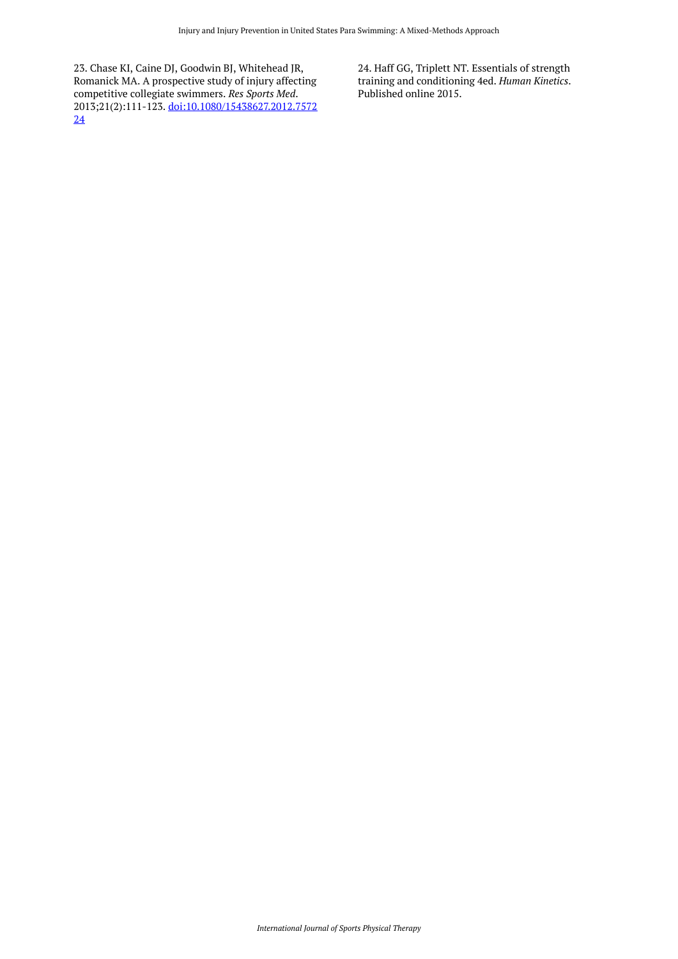23. Chase KI, Caine DJ, Goodwin BJ, Whitehead JR, Romanick MA. A prospective study of injury affecting competitive collegiate swimmers. *Res Sports Med*. 2013;21(2):111-123. [doi:10.1080/15438627.2012.7572](https://doi.org/10.1080/15438627.2012.757224) [24](https://doi.org/10.1080/15438627.2012.757224)

24. Haff GG, Triplett NT. Essentials of strength training and conditioning 4ed. *Human Kinetics*. Published online 2015.